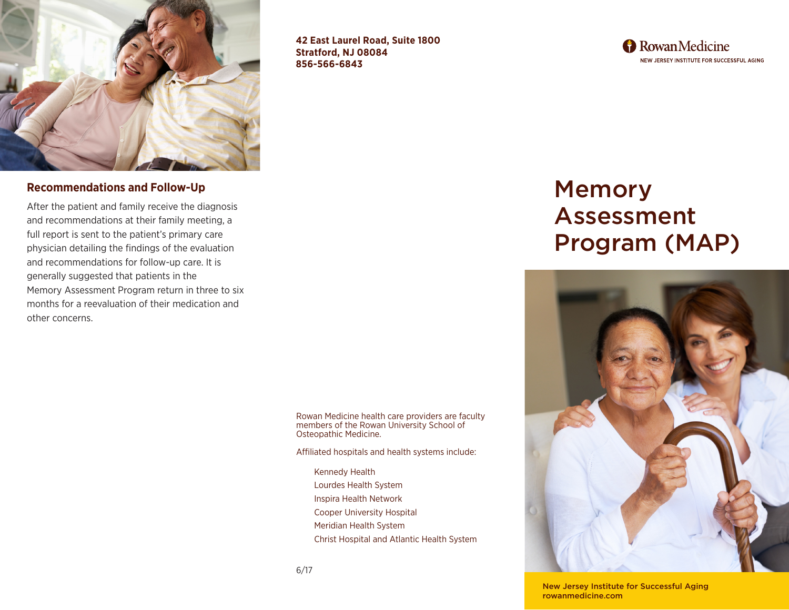

**42 East Laurel Road, Suite 1800 Stratford, NJ 08084 856-566-6843**

**A** Rowan Medicine NEW JERSEY INSTITUTE FOR SUCCESSFUL AGING

## **Recommendations and Follow-Up**

After the patient and family receive the diagnosis and recommendations at their family meeting, a full report is sent to the patient's primary care physician detailing the findings of the evaluation and recommendations for follow-up care. It is generally suggested that patients in the Memory Assessment Program return in three to six months for a reevaluation of their medication and other concerns.

> Rowan Medicine health care providers are faculty members of the Rowan University School of Osteopathic Medicine.

Affiliated hospitals and health systems include:

Kennedy Health Lourdes Health System Inspira Health Network Cooper University Hospital Meridian Health System Christ Hospital and Atlantic Health System

# Memory Assessment Program (MAP)



New Jersey Institute for Successful Aging rowanmedicine.com